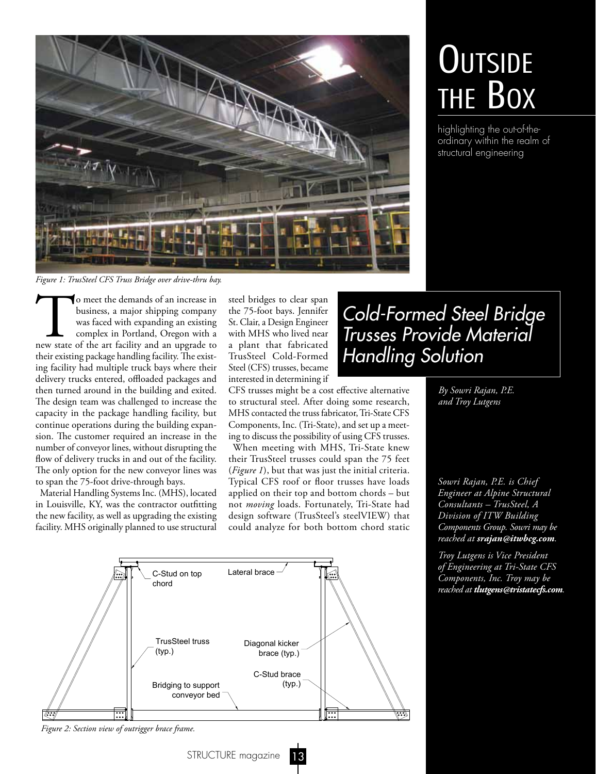

## **OUTSIDE** THE BOX

highlighting the out-of-theordinary within the realm of structural engineering

*Figure 1: TrusSteel CFS Truss Bridge over drive-thru bay.*

To meet the demands of an increase in business, a major shipping company was faced with expanding an existing complex in Portland, Oregon with a new state of the art facility and an upgrade to business, a major shipping company was faced with expanding an existing complex in Portland, Oregon with a their existing package handling facility. The existing facility had multiple truck bays where their delivery trucks entered, offloaded packages and then turned around in the building and exited. The design team was challenged to increase the capacity in the package handling facility, but continue operations during the building expansion. The customer required an increase in the number of conveyor lines, without disrupting the flow of delivery trucks in and out of the facility. The only option for the new conveyor lines was to span the 75-foot drive-through bays.

Material Handling Systems Inc. (MHS), located in Louisville, KY, was the contractor outftting the new facility, as well as upgrading the existing facility. MHS originally planned to use structural

steel bridges to clear span the 75-foot bays. Jennifer St. Clair, a Design Engineer with MHS who lived near a plant that fabricated TrusSteel Cold-Formed Steel (CFS) trusses, became interested in determining if

CFS trusses might be a cost efective alternative to structural steel. After doing some research, MHS contacted the truss fabricator, Tri-State CFS Components, Inc. (Tri-State), and set up a meeting to discuss the possibility of using CFS trusses.

When meeting with MHS, Tri-State knew their TrusSteel trusses could span the 75 feet (*Figure 1*), but that was just the initial criteria. Typical CFS roof or floor trusses have loads applied on their top and bottom chords – but not *moving* loads. Fortunately, Tri-State had design software (TrusSteel's steelVIEW) that could analyze for both bottom chord static



*Figure 2: Section view of outrigger brace frame.*

STRUCTURE magazine

## Cold-Formed Steel Bridge Trusses Provide Material Handling Solution

*By Sowri Rajan, P.E. and Troy Lutgens*

*Sowri Rajan, P.E. is Chief Engineer at Alpine Structural Consultants – TrusSteel, A Division of ITW Building Components Group. Sowri may be reached at srajan@itwbcg.com.*

*Troy Lutgens is Vice President of Engineering at Tri-State CFS Components, Inc. Troy may be reached at tlutgens@tristatecfs.com.*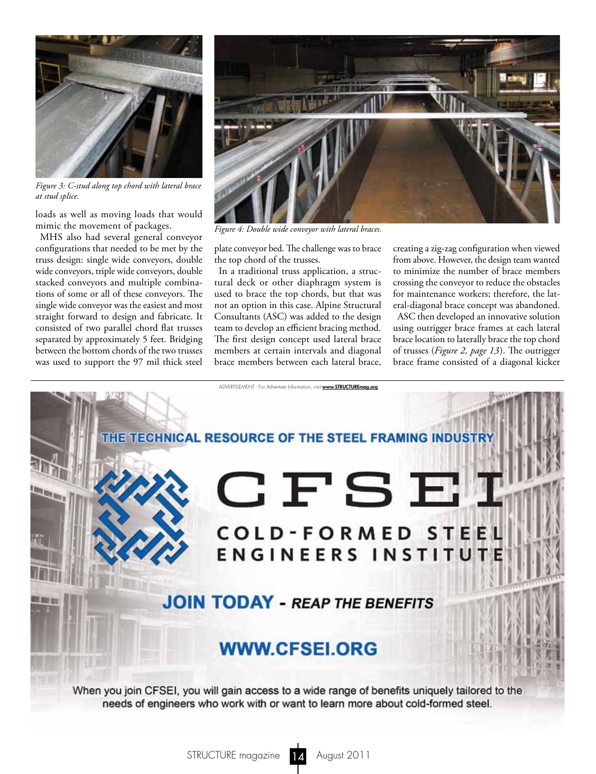

*Figure 3: C-stud along top chord with lateral brace at stud splice.*

loads as well as moving loads that would mimic the movement of packages.

MHS also had several general conveyor confgurations that needed to be met by the truss design: single wide conveyors, double wide conveyors, triple wide conveyors, double stacked conveyors and multiple combinations of some or all of these conveyors. The single wide conveyor was the easiest and most straight forward to design and fabricate. It consisted of two parallel chord fat trusses separated by approximately 5 feet. Bridging between the bottom chords of the two trusses was used to support the 97 mil thick steel



*Figure 4: Double wide conveyor with lateral braces.*

plate conveyor bed. The challenge was to brace the top chord of the trusses.

In a traditional truss application, a structural deck or other diaphragm system is used to brace the top chords, but that was not an option in this case. Alpine Structural Consultants (ASC) was added to the design team to develop an efficient bracing method. The first design concept used lateral brace members at certain intervals and diagonal brace members between each lateral brace,

creating a zig-zag confguration when viewed from above. However, the design team wanted to minimize the number of brace members crossing the conveyor to reduce the obstacles for maintenance workers; therefore, the lateral-diagonal brace concept was abandoned.

ASC then developed an innovative solution using outrigger brace frames at each lateral brace location to laterally brace the top chord of trusses (*Figure 2, page 13*). The outrigger brace frame consisted of a diagonal kicker